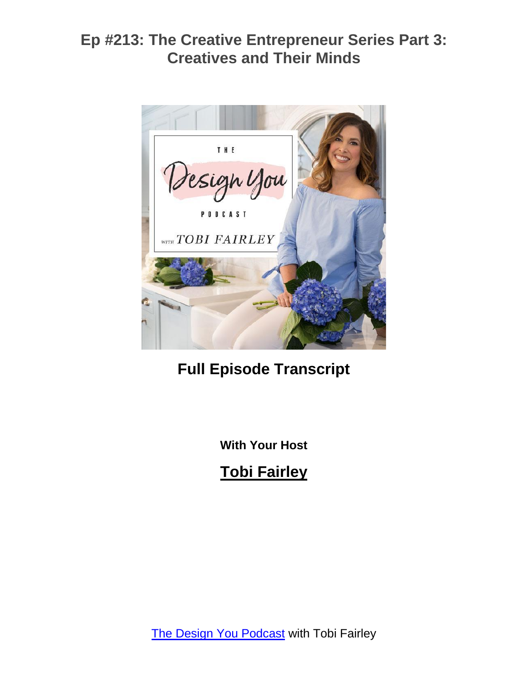

# **Full Episode Transcript**

**With Your Host**

**Tobi Fairley**

The Design You [Podcast](https://tobifairley.com/podcast) with Tobi Fairley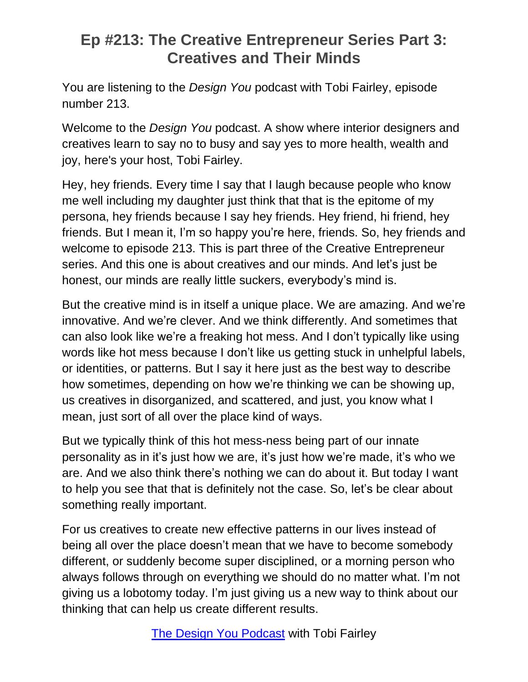You are listening to the *Design You* podcast with Tobi Fairley, episode number 213.

Welcome to the *Design You* podcast. A show where interior designers and creatives learn to say no to busy and say yes to more health, wealth and joy, here's your host, Tobi Fairley.

Hey, hey friends. Every time I say that I laugh because people who know me well including my daughter just think that that is the epitome of my persona, hey friends because I say hey friends. Hey friend, hi friend, hey friends. But I mean it, I'm so happy you're here, friends. So, hey friends and welcome to episode 213. This is part three of the Creative Entrepreneur series. And this one is about creatives and our minds. And let's just be honest, our minds are really little suckers, everybody's mind is.

But the creative mind is in itself a unique place. We are amazing. And we're innovative. And we're clever. And we think differently. And sometimes that can also look like we're a freaking hot mess. And I don't typically like using words like hot mess because I don't like us getting stuck in unhelpful labels, or identities, or patterns. But I say it here just as the best way to describe how sometimes, depending on how we're thinking we can be showing up, us creatives in disorganized, and scattered, and just, you know what I mean, just sort of all over the place kind of ways.

But we typically think of this hot mess-ness being part of our innate personality as in it's just how we are, it's just how we're made, it's who we are. And we also think there's nothing we can do about it. But today I want to help you see that that is definitely not the case. So, let's be clear about something really important.

For us creatives to create new effective patterns in our lives instead of being all over the place doesn't mean that we have to become somebody different, or suddenly become super disciplined, or a morning person who always follows through on everything we should do no matter what. I'm not giving us a lobotomy today. I'm just giving us a new way to think about our thinking that can help us create different results.

The Design You [Podcast](https://tobifairley.com/podcast) with Tobi Fairley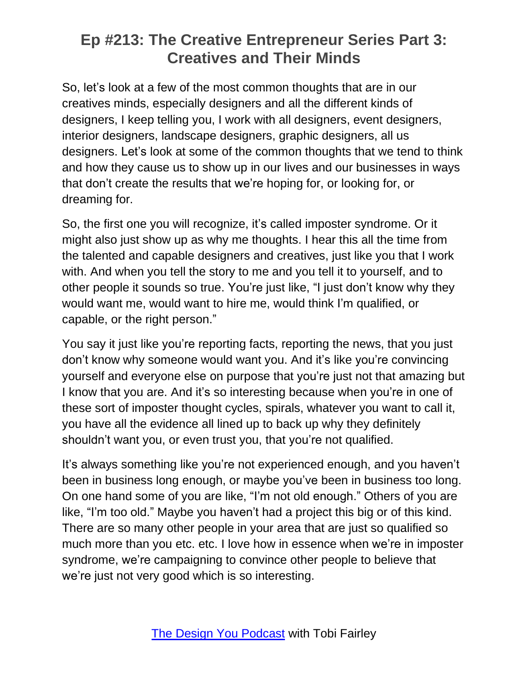So, let's look at a few of the most common thoughts that are in our creatives minds, especially designers and all the different kinds of designers, I keep telling you, I work with all designers, event designers, interior designers, landscape designers, graphic designers, all us designers. Let's look at some of the common thoughts that we tend to think and how they cause us to show up in our lives and our businesses in ways that don't create the results that we're hoping for, or looking for, or dreaming for.

So, the first one you will recognize, it's called imposter syndrome. Or it might also just show up as why me thoughts. I hear this all the time from the talented and capable designers and creatives, just like you that I work with. And when you tell the story to me and you tell it to yourself, and to other people it sounds so true. You're just like, "I just don't know why they would want me, would want to hire me, would think I'm qualified, or capable, or the right person."

You say it just like you're reporting facts, reporting the news, that you just don't know why someone would want you. And it's like you're convincing yourself and everyone else on purpose that you're just not that amazing but I know that you are. And it's so interesting because when you're in one of these sort of imposter thought cycles, spirals, whatever you want to call it, you have all the evidence all lined up to back up why they definitely shouldn't want you, or even trust you, that you're not qualified.

It's always something like you're not experienced enough, and you haven't been in business long enough, or maybe you've been in business too long. On one hand some of you are like, "I'm not old enough." Others of you are like, "I'm too old." Maybe you haven't had a project this big or of this kind. There are so many other people in your area that are just so qualified so much more than you etc. etc. I love how in essence when we're in imposter syndrome, we're campaigning to convince other people to believe that we're just not very good which is so interesting.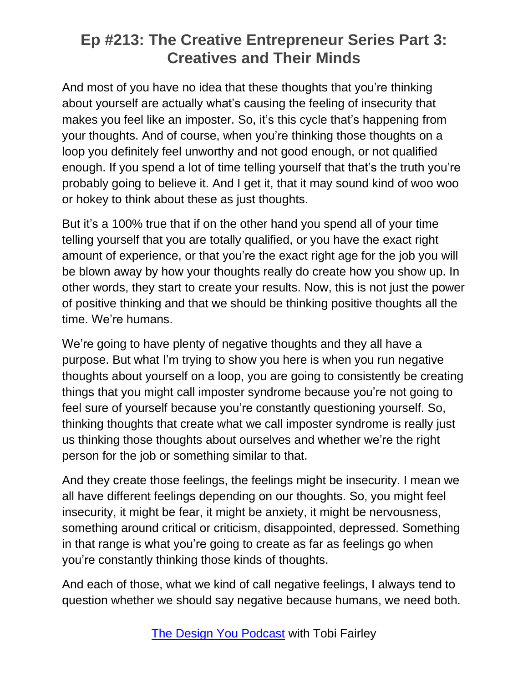And most of you have no idea that these thoughts that you're thinking about yourself are actually what's causing the feeling of insecurity that makes you feel like an imposter. So, it's this cycle that's happening from your thoughts. And of course, when you're thinking those thoughts on a loop you definitely feel unworthy and not good enough, or not qualified enough. If you spend a lot of time telling yourself that that's the truth you're probably going to believe it. And I get it, that it may sound kind of woo woo or hokey to think about these as just thoughts.

But it's a 100% true that if on the other hand you spend all of your time telling yourself that you are totally qualified, or you have the exact right amount of experience, or that you're the exact right age for the job you will be blown away by how your thoughts really do create how you show up. In other words, they start to create your results. Now, this is not just the power of positive thinking and that we should be thinking positive thoughts all the time. We're humans.

We're going to have plenty of negative thoughts and they all have a purpose. But what I'm trying to show you here is when you run negative thoughts about yourself on a loop, you are going to consistently be creating things that you might call imposter syndrome because you're not going to feel sure of yourself because you're constantly questioning yourself. So, thinking thoughts that create what we call imposter syndrome is really just us thinking those thoughts about ourselves and whether we're the right person for the job or something similar to that.

And they create those feelings, the feelings might be insecurity. I mean we all have different feelings depending on our thoughts. So, you might feel insecurity, it might be fear, it might be anxiety, it might be nervousness, something around critical or criticism, disappointed, depressed. Something in that range is what you're going to create as far as feelings go when you're constantly thinking those kinds of thoughts.

And each of those, what we kind of call negative feelings, I always tend to question whether we should say negative because humans, we need both.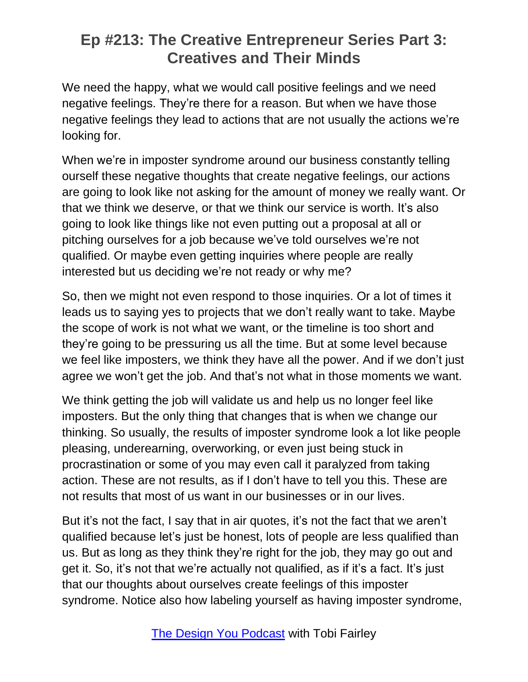We need the happy, what we would call positive feelings and we need negative feelings. They're there for a reason. But when we have those negative feelings they lead to actions that are not usually the actions we're looking for.

When we're in imposter syndrome around our business constantly telling ourself these negative thoughts that create negative feelings, our actions are going to look like not asking for the amount of money we really want. Or that we think we deserve, or that we think our service is worth. It's also going to look like things like not even putting out a proposal at all or pitching ourselves for a job because we've told ourselves we're not qualified. Or maybe even getting inquiries where people are really interested but us deciding we're not ready or why me?

So, then we might not even respond to those inquiries. Or a lot of times it leads us to saying yes to projects that we don't really want to take. Maybe the scope of work is not what we want, or the timeline is too short and they're going to be pressuring us all the time. But at some level because we feel like imposters, we think they have all the power. And if we don't just agree we won't get the job. And that's not what in those moments we want.

We think getting the job will validate us and help us no longer feel like imposters. But the only thing that changes that is when we change our thinking. So usually, the results of imposter syndrome look a lot like people pleasing, underearning, overworking, or even just being stuck in procrastination or some of you may even call it paralyzed from taking action. These are not results, as if I don't have to tell you this. These are not results that most of us want in our businesses or in our lives.

But it's not the fact, I say that in air quotes, it's not the fact that we aren't qualified because let's just be honest, lots of people are less qualified than us. But as long as they think they're right for the job, they may go out and get it. So, it's not that we're actually not qualified, as if it's a fact. It's just that our thoughts about ourselves create feelings of this imposter syndrome. Notice also how labeling yourself as having imposter syndrome,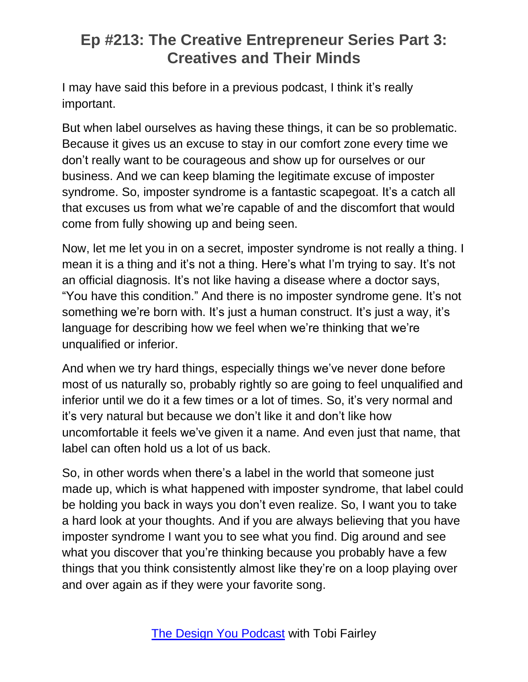I may have said this before in a previous podcast, I think it's really important.

But when label ourselves as having these things, it can be so problematic. Because it gives us an excuse to stay in our comfort zone every time we don't really want to be courageous and show up for ourselves or our business. And we can keep blaming the legitimate excuse of imposter syndrome. So, imposter syndrome is a fantastic scapegoat. It's a catch all that excuses us from what we're capable of and the discomfort that would come from fully showing up and being seen.

Now, let me let you in on a secret, imposter syndrome is not really a thing. I mean it is a thing and it's not a thing. Here's what I'm trying to say. It's not an official diagnosis. It's not like having a disease where a doctor says, "You have this condition." And there is no imposter syndrome gene. It's not something we're born with. It's just a human construct. It's just a way, it's language for describing how we feel when we're thinking that we're unqualified or inferior.

And when we try hard things, especially things we've never done before most of us naturally so, probably rightly so are going to feel unqualified and inferior until we do it a few times or a lot of times. So, it's very normal and it's very natural but because we don't like it and don't like how uncomfortable it feels we've given it a name. And even just that name, that label can often hold us a lot of us back.

So, in other words when there's a label in the world that someone just made up, which is what happened with imposter syndrome, that label could be holding you back in ways you don't even realize. So, I want you to take a hard look at your thoughts. And if you are always believing that you have imposter syndrome I want you to see what you find. Dig around and see what you discover that you're thinking because you probably have a few things that you think consistently almost like they're on a loop playing over and over again as if they were your favorite song.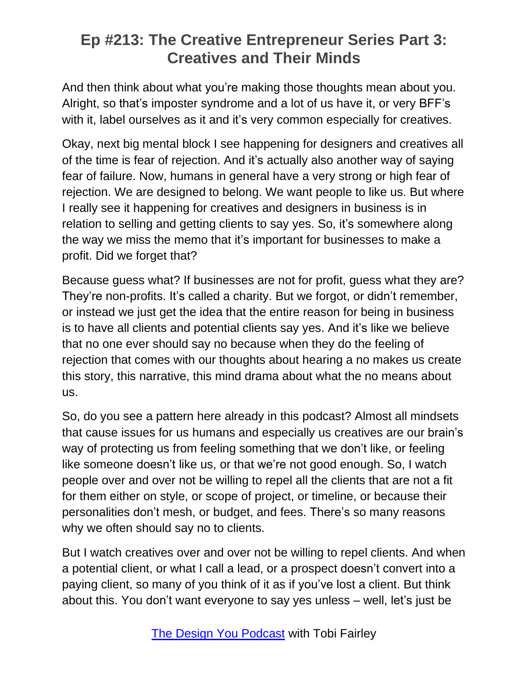And then think about what you're making those thoughts mean about you. Alright, so that's imposter syndrome and a lot of us have it, or very BFF's with it, label ourselves as it and it's very common especially for creatives.

Okay, next big mental block I see happening for designers and creatives all of the time is fear of rejection. And it's actually also another way of saying fear of failure. Now, humans in general have a very strong or high fear of rejection. We are designed to belong. We want people to like us. But where I really see it happening for creatives and designers in business is in relation to selling and getting clients to say yes. So, it's somewhere along the way we miss the memo that it's important for businesses to make a profit. Did we forget that?

Because guess what? If businesses are not for profit, guess what they are? They're non-profits. It's called a charity. But we forgot, or didn't remember, or instead we just get the idea that the entire reason for being in business is to have all clients and potential clients say yes. And it's like we believe that no one ever should say no because when they do the feeling of rejection that comes with our thoughts about hearing a no makes us create this story, this narrative, this mind drama about what the no means about us.

So, do you see a pattern here already in this podcast? Almost all mindsets that cause issues for us humans and especially us creatives are our brain's way of protecting us from feeling something that we don't like, or feeling like someone doesn't like us, or that we're not good enough. So, I watch people over and over not be willing to repel all the clients that are not a fit for them either on style, or scope of project, or timeline, or because their personalities don't mesh, or budget, and fees. There's so many reasons why we often should say no to clients.

But I watch creatives over and over not be willing to repel clients. And when a potential client, or what I call a lead, or a prospect doesn't convert into a paying client, so many of you think of it as if you've lost a client. But think about this. You don't want everyone to say yes unless – well, let's just be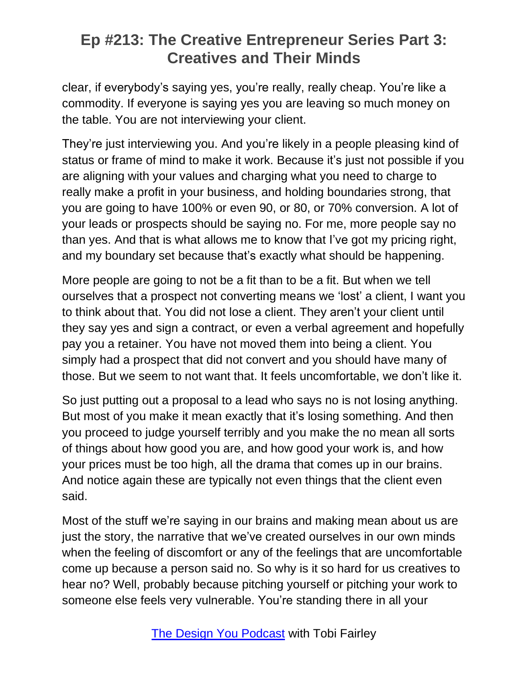clear, if everybody's saying yes, you're really, really cheap. You're like a commodity. If everyone is saying yes you are leaving so much money on the table. You are not interviewing your client.

They're just interviewing you. And you're likely in a people pleasing kind of status or frame of mind to make it work. Because it's just not possible if you are aligning with your values and charging what you need to charge to really make a profit in your business, and holding boundaries strong, that you are going to have 100% or even 90, or 80, or 70% conversion. A lot of your leads or prospects should be saying no. For me, more people say no than yes. And that is what allows me to know that I've got my pricing right, and my boundary set because that's exactly what should be happening.

More people are going to not be a fit than to be a fit. But when we tell ourselves that a prospect not converting means we 'lost' a client, I want you to think about that. You did not lose a client. They aren't your client until they say yes and sign a contract, or even a verbal agreement and hopefully pay you a retainer. You have not moved them into being a client. You simply had a prospect that did not convert and you should have many of those. But we seem to not want that. It feels uncomfortable, we don't like it.

So just putting out a proposal to a lead who says no is not losing anything. But most of you make it mean exactly that it's losing something. And then you proceed to judge yourself terribly and you make the no mean all sorts of things about how good you are, and how good your work is, and how your prices must be too high, all the drama that comes up in our brains. And notice again these are typically not even things that the client even said.

Most of the stuff we're saying in our brains and making mean about us are just the story, the narrative that we've created ourselves in our own minds when the feeling of discomfort or any of the feelings that are uncomfortable come up because a person said no. So why is it so hard for us creatives to hear no? Well, probably because pitching yourself or pitching your work to someone else feels very vulnerable. You're standing there in all your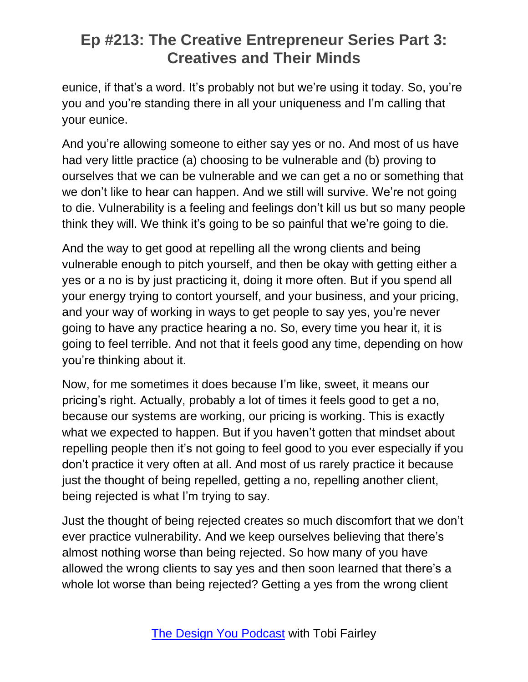eunice, if that's a word. It's probably not but we're using it today. So, you're you and you're standing there in all your uniqueness and I'm calling that your eunice.

And you're allowing someone to either say yes or no. And most of us have had very little practice (a) choosing to be vulnerable and (b) proving to ourselves that we can be vulnerable and we can get a no or something that we don't like to hear can happen. And we still will survive. We're not going to die. Vulnerability is a feeling and feelings don't kill us but so many people think they will. We think it's going to be so painful that we're going to die.

And the way to get good at repelling all the wrong clients and being vulnerable enough to pitch yourself, and then be okay with getting either a yes or a no is by just practicing it, doing it more often. But if you spend all your energy trying to contort yourself, and your business, and your pricing, and your way of working in ways to get people to say yes, you're never going to have any practice hearing a no. So, every time you hear it, it is going to feel terrible. And not that it feels good any time, depending on how you're thinking about it.

Now, for me sometimes it does because I'm like, sweet, it means our pricing's right. Actually, probably a lot of times it feels good to get a no, because our systems are working, our pricing is working. This is exactly what we expected to happen. But if you haven't gotten that mindset about repelling people then it's not going to feel good to you ever especially if you don't practice it very often at all. And most of us rarely practice it because just the thought of being repelled, getting a no, repelling another client, being rejected is what I'm trying to say.

Just the thought of being rejected creates so much discomfort that we don't ever practice vulnerability. And we keep ourselves believing that there's almost nothing worse than being rejected. So how many of you have allowed the wrong clients to say yes and then soon learned that there's a whole lot worse than being rejected? Getting a yes from the wrong client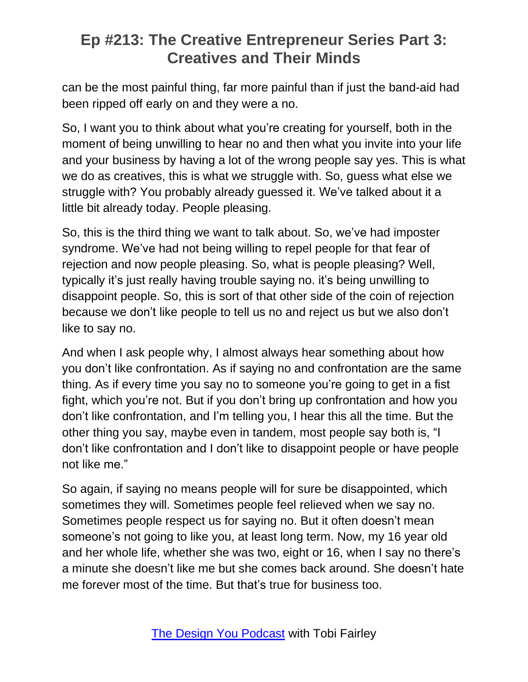can be the most painful thing, far more painful than if just the band-aid had been ripped off early on and they were a no.

So, I want you to think about what you're creating for yourself, both in the moment of being unwilling to hear no and then what you invite into your life and your business by having a lot of the wrong people say yes. This is what we do as creatives, this is what we struggle with. So, guess what else we struggle with? You probably already guessed it. We've talked about it a little bit already today. People pleasing.

So, this is the third thing we want to talk about. So, we've had imposter syndrome. We've had not being willing to repel people for that fear of rejection and now people pleasing. So, what is people pleasing? Well, typically it's just really having trouble saying no. it's being unwilling to disappoint people. So, this is sort of that other side of the coin of rejection because we don't like people to tell us no and reject us but we also don't like to say no.

And when I ask people why, I almost always hear something about how you don't like confrontation. As if saying no and confrontation are the same thing. As if every time you say no to someone you're going to get in a fist fight, which you're not. But if you don't bring up confrontation and how you don't like confrontation, and I'm telling you, I hear this all the time. But the other thing you say, maybe even in tandem, most people say both is, "I don't like confrontation and I don't like to disappoint people or have people not like me."

So again, if saying no means people will for sure be disappointed, which sometimes they will. Sometimes people feel relieved when we say no. Sometimes people respect us for saying no. But it often doesn't mean someone's not going to like you, at least long term. Now, my 16 year old and her whole life, whether she was two, eight or 16, when I say no there's a minute she doesn't like me but she comes back around. She doesn't hate me forever most of the time. But that's true for business too.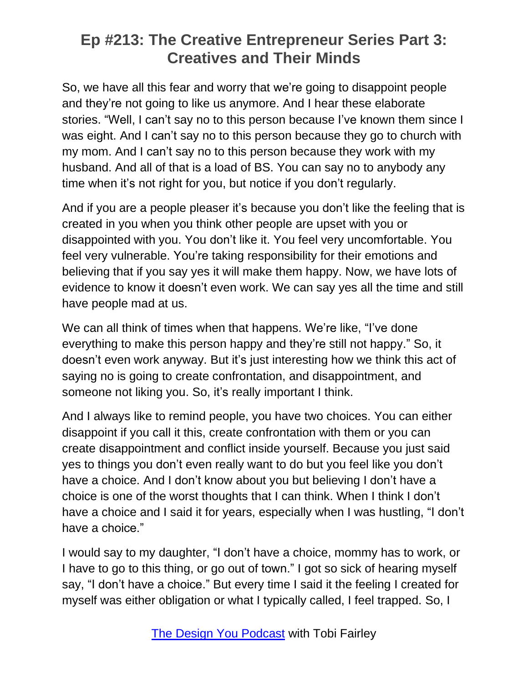So, we have all this fear and worry that we're going to disappoint people and they're not going to like us anymore. And I hear these elaborate stories. "Well, I can't say no to this person because I've known them since I was eight. And I can't say no to this person because they go to church with my mom. And I can't say no to this person because they work with my husband. And all of that is a load of BS. You can say no to anybody any time when it's not right for you, but notice if you don't regularly.

And if you are a people pleaser it's because you don't like the feeling that is created in you when you think other people are upset with you or disappointed with you. You don't like it. You feel very uncomfortable. You feel very vulnerable. You're taking responsibility for their emotions and believing that if you say yes it will make them happy. Now, we have lots of evidence to know it doesn't even work. We can say yes all the time and still have people mad at us.

We can all think of times when that happens. We're like, "I've done everything to make this person happy and they're still not happy." So, it doesn't even work anyway. But it's just interesting how we think this act of saying no is going to create confrontation, and disappointment, and someone not liking you. So, it's really important I think.

And I always like to remind people, you have two choices. You can either disappoint if you call it this, create confrontation with them or you can create disappointment and conflict inside yourself. Because you just said yes to things you don't even really want to do but you feel like you don't have a choice. And I don't know about you but believing I don't have a choice is one of the worst thoughts that I can think. When I think I don't have a choice and I said it for years, especially when I was hustling, "I don't have a choice."

I would say to my daughter, "I don't have a choice, mommy has to work, or I have to go to this thing, or go out of town." I got so sick of hearing myself say, "I don't have a choice." But every time I said it the feeling I created for myself was either obligation or what I typically called, I feel trapped. So, I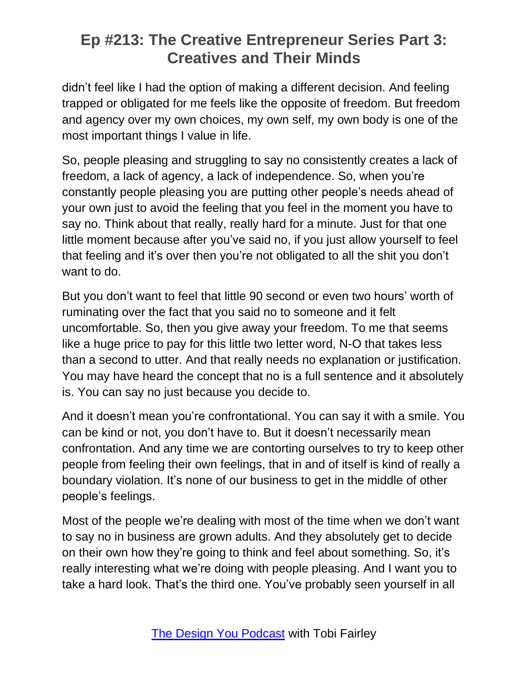didn't feel like I had the option of making a different decision. And feeling trapped or obligated for me feels like the opposite of freedom. But freedom and agency over my own choices, my own self, my own body is one of the most important things I value in life.

So, people pleasing and struggling to say no consistently creates a lack of freedom, a lack of agency, a lack of independence. So, when you're constantly people pleasing you are putting other people's needs ahead of your own just to avoid the feeling that you feel in the moment you have to say no. Think about that really, really hard for a minute. Just for that one little moment because after you've said no, if you just allow yourself to feel that feeling and it's over then you're not obligated to all the shit you don't want to do.

But you don't want to feel that little 90 second or even two hours' worth of ruminating over the fact that you said no to someone and it felt uncomfortable. So, then you give away your freedom. To me that seems like a huge price to pay for this little two letter word, N-O that takes less than a second to utter. And that really needs no explanation or justification. You may have heard the concept that no is a full sentence and it absolutely is. You can say no just because you decide to.

And it doesn't mean you're confrontational. You can say it with a smile. You can be kind or not, you don't have to. But it doesn't necessarily mean confrontation. And any time we are contorting ourselves to try to keep other people from feeling their own feelings, that in and of itself is kind of really a boundary violation. It's none of our business to get in the middle of other people's feelings.

Most of the people we're dealing with most of the time when we don't want to say no in business are grown adults. And they absolutely get to decide on their own how they're going to think and feel about something. So, it's really interesting what we're doing with people pleasing. And I want you to take a hard look. That's the third one. You've probably seen yourself in all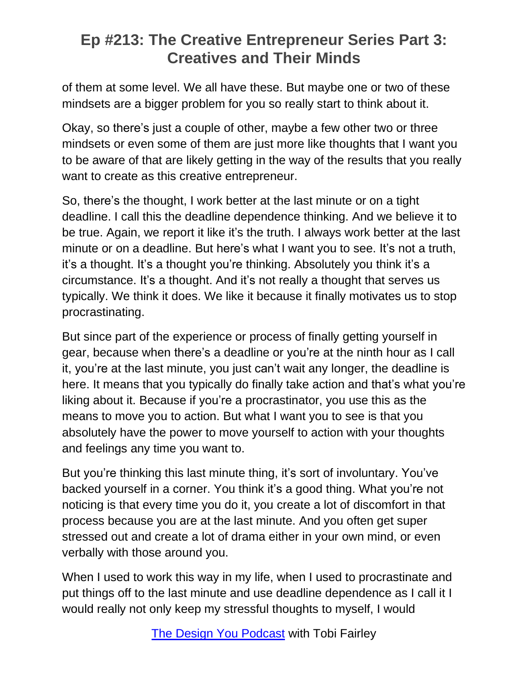of them at some level. We all have these. But maybe one or two of these mindsets are a bigger problem for you so really start to think about it.

Okay, so there's just a couple of other, maybe a few other two or three mindsets or even some of them are just more like thoughts that I want you to be aware of that are likely getting in the way of the results that you really want to create as this creative entrepreneur.

So, there's the thought, I work better at the last minute or on a tight deadline. I call this the deadline dependence thinking. And we believe it to be true. Again, we report it like it's the truth. I always work better at the last minute or on a deadline. But here's what I want you to see. It's not a truth, it's a thought. It's a thought you're thinking. Absolutely you think it's a circumstance. It's a thought. And it's not really a thought that serves us typically. We think it does. We like it because it finally motivates us to stop procrastinating.

But since part of the experience or process of finally getting yourself in gear, because when there's a deadline or you're at the ninth hour as I call it, you're at the last minute, you just can't wait any longer, the deadline is here. It means that you typically do finally take action and that's what you're liking about it. Because if you're a procrastinator, you use this as the means to move you to action. But what I want you to see is that you absolutely have the power to move yourself to action with your thoughts and feelings any time you want to.

But you're thinking this last minute thing, it's sort of involuntary. You've backed yourself in a corner. You think it's a good thing. What you're not noticing is that every time you do it, you create a lot of discomfort in that process because you are at the last minute. And you often get super stressed out and create a lot of drama either in your own mind, or even verbally with those around you.

When I used to work this way in my life, when I used to procrastinate and put things off to the last minute and use deadline dependence as I call it I would really not only keep my stressful thoughts to myself, I would

The Design You [Podcast](https://tobifairley.com/podcast) with Tobi Fairley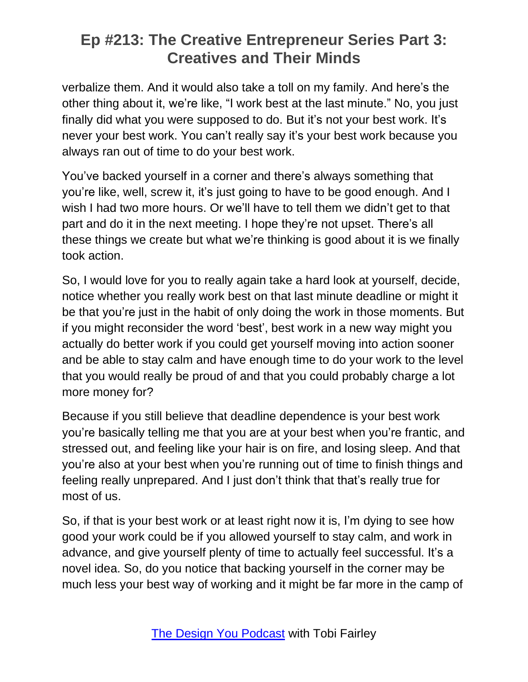verbalize them. And it would also take a toll on my family. And here's the other thing about it, we're like, "I work best at the last minute." No, you just finally did what you were supposed to do. But it's not your best work. It's never your best work. You can't really say it's your best work because you always ran out of time to do your best work.

You've backed yourself in a corner and there's always something that you're like, well, screw it, it's just going to have to be good enough. And I wish I had two more hours. Or we'll have to tell them we didn't get to that part and do it in the next meeting. I hope they're not upset. There's all these things we create but what we're thinking is good about it is we finally took action.

So, I would love for you to really again take a hard look at yourself, decide, notice whether you really work best on that last minute deadline or might it be that you're just in the habit of only doing the work in those moments. But if you might reconsider the word 'best', best work in a new way might you actually do better work if you could get yourself moving into action sooner and be able to stay calm and have enough time to do your work to the level that you would really be proud of and that you could probably charge a lot more money for?

Because if you still believe that deadline dependence is your best work you're basically telling me that you are at your best when you're frantic, and stressed out, and feeling like your hair is on fire, and losing sleep. And that you're also at your best when you're running out of time to finish things and feeling really unprepared. And I just don't think that that's really true for most of us.

So, if that is your best work or at least right now it is, I'm dying to see how good your work could be if you allowed yourself to stay calm, and work in advance, and give yourself plenty of time to actually feel successful. It's a novel idea. So, do you notice that backing yourself in the corner may be much less your best way of working and it might be far more in the camp of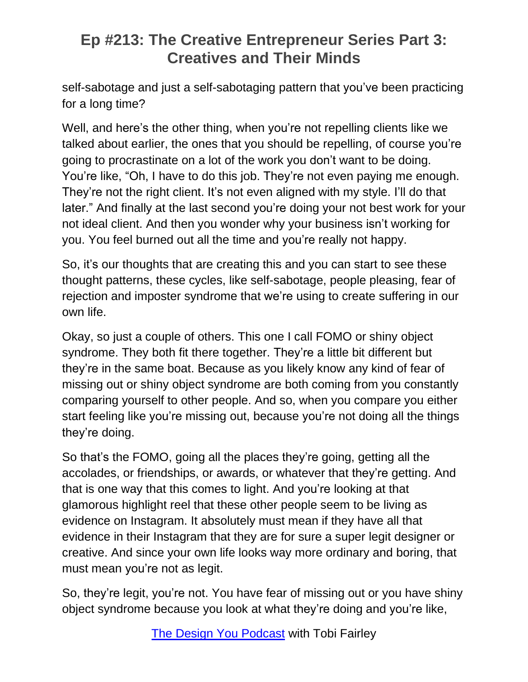self-sabotage and just a self-sabotaging pattern that you've been practicing for a long time?

Well, and here's the other thing, when you're not repelling clients like we talked about earlier, the ones that you should be repelling, of course you're going to procrastinate on a lot of the work you don't want to be doing. You're like, "Oh, I have to do this job. They're not even paying me enough. They're not the right client. It's not even aligned with my style. I'll do that later." And finally at the last second you're doing your not best work for your not ideal client. And then you wonder why your business isn't working for you. You feel burned out all the time and you're really not happy.

So, it's our thoughts that are creating this and you can start to see these thought patterns, these cycles, like self-sabotage, people pleasing, fear of rejection and imposter syndrome that we're using to create suffering in our own life.

Okay, so just a couple of others. This one I call FOMO or shiny object syndrome. They both fit there together. They're a little bit different but they're in the same boat. Because as you likely know any kind of fear of missing out or shiny object syndrome are both coming from you constantly comparing yourself to other people. And so, when you compare you either start feeling like you're missing out, because you're not doing all the things they're doing.

So that's the FOMO, going all the places they're going, getting all the accolades, or friendships, or awards, or whatever that they're getting. And that is one way that this comes to light. And you're looking at that glamorous highlight reel that these other people seem to be living as evidence on Instagram. It absolutely must mean if they have all that evidence in their Instagram that they are for sure a super legit designer or creative. And since your own life looks way more ordinary and boring, that must mean you're not as legit.

So, they're legit, you're not. You have fear of missing out or you have shiny object syndrome because you look at what they're doing and you're like,

The Design You [Podcast](https://tobifairley.com/podcast) with Tobi Fairley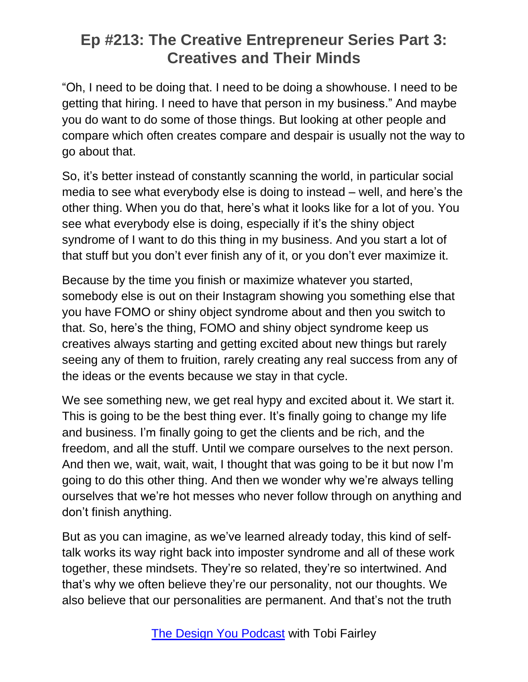"Oh, I need to be doing that. I need to be doing a showhouse. I need to be getting that hiring. I need to have that person in my business." And maybe you do want to do some of those things. But looking at other people and compare which often creates compare and despair is usually not the way to go about that.

So, it's better instead of constantly scanning the world, in particular social media to see what everybody else is doing to instead – well, and here's the other thing. When you do that, here's what it looks like for a lot of you. You see what everybody else is doing, especially if it's the shiny object syndrome of I want to do this thing in my business. And you start a lot of that stuff but you don't ever finish any of it, or you don't ever maximize it.

Because by the time you finish or maximize whatever you started, somebody else is out on their Instagram showing you something else that you have FOMO or shiny object syndrome about and then you switch to that. So, here's the thing, FOMO and shiny object syndrome keep us creatives always starting and getting excited about new things but rarely seeing any of them to fruition, rarely creating any real success from any of the ideas or the events because we stay in that cycle.

We see something new, we get real hypy and excited about it. We start it. This is going to be the best thing ever. It's finally going to change my life and business. I'm finally going to get the clients and be rich, and the freedom, and all the stuff. Until we compare ourselves to the next person. And then we, wait, wait, wait, I thought that was going to be it but now I'm going to do this other thing. And then we wonder why we're always telling ourselves that we're hot messes who never follow through on anything and don't finish anything.

But as you can imagine, as we've learned already today, this kind of selftalk works its way right back into imposter syndrome and all of these work together, these mindsets. They're so related, they're so intertwined. And that's why we often believe they're our personality, not our thoughts. We also believe that our personalities are permanent. And that's not the truth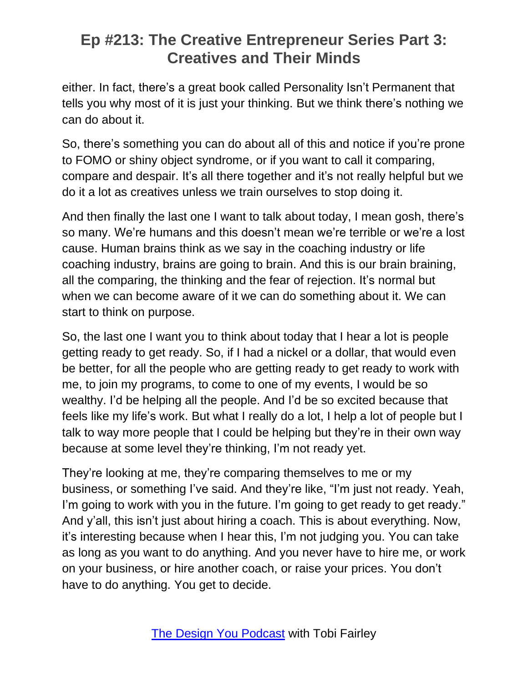either. In fact, there's a great book called Personality Isn't Permanent that tells you why most of it is just your thinking. But we think there's nothing we can do about it.

So, there's something you can do about all of this and notice if you're prone to FOMO or shiny object syndrome, or if you want to call it comparing, compare and despair. It's all there together and it's not really helpful but we do it a lot as creatives unless we train ourselves to stop doing it.

And then finally the last one I want to talk about today, I mean gosh, there's so many. We're humans and this doesn't mean we're terrible or we're a lost cause. Human brains think as we say in the coaching industry or life coaching industry, brains are going to brain. And this is our brain braining, all the comparing, the thinking and the fear of rejection. It's normal but when we can become aware of it we can do something about it. We can start to think on purpose.

So, the last one I want you to think about today that I hear a lot is people getting ready to get ready. So, if I had a nickel or a dollar, that would even be better, for all the people who are getting ready to get ready to work with me, to join my programs, to come to one of my events, I would be so wealthy. I'd be helping all the people. And I'd be so excited because that feels like my life's work. But what I really do a lot, I help a lot of people but I talk to way more people that I could be helping but they're in their own way because at some level they're thinking, I'm not ready yet.

They're looking at me, they're comparing themselves to me or my business, or something I've said. And they're like, "I'm just not ready. Yeah, I'm going to work with you in the future. I'm going to get ready to get ready." And y'all, this isn't just about hiring a coach. This is about everything. Now, it's interesting because when I hear this, I'm not judging you. You can take as long as you want to do anything. And you never have to hire me, or work on your business, or hire another coach, or raise your prices. You don't have to do anything. You get to decide.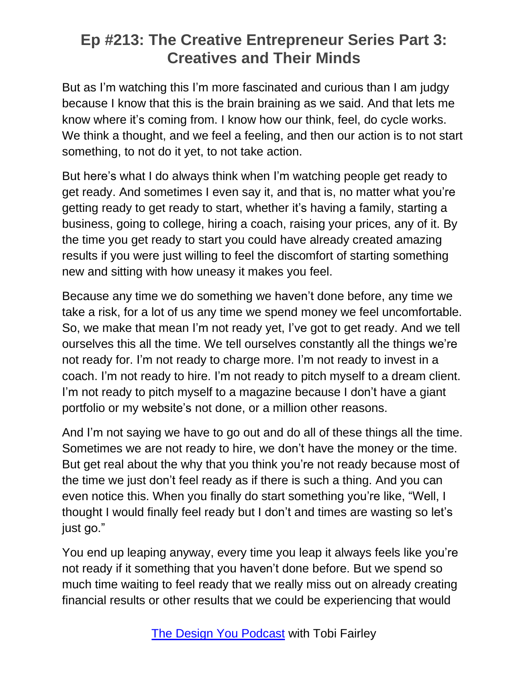But as I'm watching this I'm more fascinated and curious than I am judgy because I know that this is the brain braining as we said. And that lets me know where it's coming from. I know how our think, feel, do cycle works. We think a thought, and we feel a feeling, and then our action is to not start something, to not do it yet, to not take action.

But here's what I do always think when I'm watching people get ready to get ready. And sometimes I even say it, and that is, no matter what you're getting ready to get ready to start, whether it's having a family, starting a business, going to college, hiring a coach, raising your prices, any of it. By the time you get ready to start you could have already created amazing results if you were just willing to feel the discomfort of starting something new and sitting with how uneasy it makes you feel.

Because any time we do something we haven't done before, any time we take a risk, for a lot of us any time we spend money we feel uncomfortable. So, we make that mean I'm not ready yet, I've got to get ready. And we tell ourselves this all the time. We tell ourselves constantly all the things we're not ready for. I'm not ready to charge more. I'm not ready to invest in a coach. I'm not ready to hire. I'm not ready to pitch myself to a dream client. I'm not ready to pitch myself to a magazine because I don't have a giant portfolio or my website's not done, or a million other reasons.

And I'm not saying we have to go out and do all of these things all the time. Sometimes we are not ready to hire, we don't have the money or the time. But get real about the why that you think you're not ready because most of the time we just don't feel ready as if there is such a thing. And you can even notice this. When you finally do start something you're like, "Well, I thought I would finally feel ready but I don't and times are wasting so let's just go."

You end up leaping anyway, every time you leap it always feels like you're not ready if it something that you haven't done before. But we spend so much time waiting to feel ready that we really miss out on already creating financial results or other results that we could be experiencing that would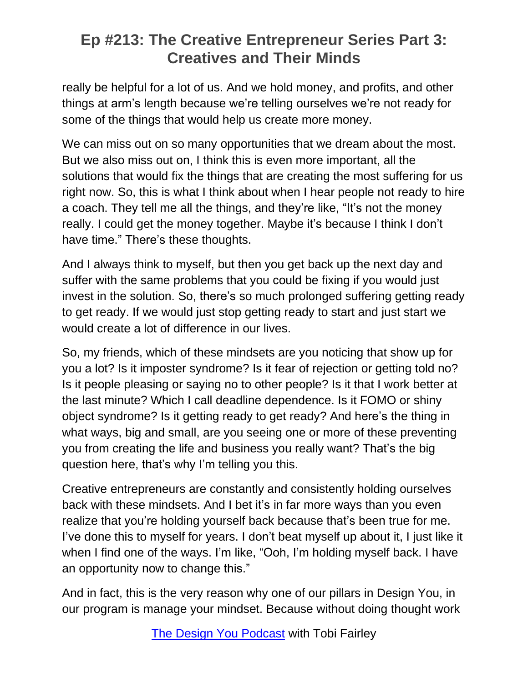really be helpful for a lot of us. And we hold money, and profits, and other things at arm's length because we're telling ourselves we're not ready for some of the things that would help us create more money.

We can miss out on so many opportunities that we dream about the most. But we also miss out on, I think this is even more important, all the solutions that would fix the things that are creating the most suffering for us right now. So, this is what I think about when I hear people not ready to hire a coach. They tell me all the things, and they're like, "It's not the money really. I could get the money together. Maybe it's because I think I don't have time." There's these thoughts.

And I always think to myself, but then you get back up the next day and suffer with the same problems that you could be fixing if you would just invest in the solution. So, there's so much prolonged suffering getting ready to get ready. If we would just stop getting ready to start and just start we would create a lot of difference in our lives.

So, my friends, which of these mindsets are you noticing that show up for you a lot? Is it imposter syndrome? Is it fear of rejection or getting told no? Is it people pleasing or saying no to other people? Is it that I work better at the last minute? Which I call deadline dependence. Is it FOMO or shiny object syndrome? Is it getting ready to get ready? And here's the thing in what ways, big and small, are you seeing one or more of these preventing you from creating the life and business you really want? That's the big question here, that's why I'm telling you this.

Creative entrepreneurs are constantly and consistently holding ourselves back with these mindsets. And I bet it's in far more ways than you even realize that you're holding yourself back because that's been true for me. I've done this to myself for years. I don't beat myself up about it, I just like it when I find one of the ways. I'm like, "Ooh, I'm holding myself back. I have an opportunity now to change this."

And in fact, this is the very reason why one of our pillars in Design You, in our program is manage your mindset. Because without doing thought work

The Design You [Podcast](https://tobifairley.com/podcast) with Tobi Fairley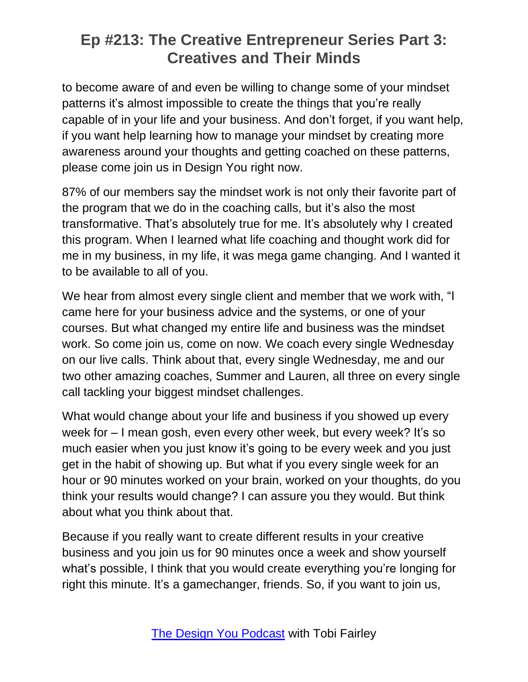to become aware of and even be willing to change some of your mindset patterns it's almost impossible to create the things that you're really capable of in your life and your business. And don't forget, if you want help, if you want help learning how to manage your mindset by creating more awareness around your thoughts and getting coached on these patterns, please come join us in Design You right now.

87% of our members say the mindset work is not only their favorite part of the program that we do in the coaching calls, but it's also the most transformative. That's absolutely true for me. It's absolutely why I created this program. When I learned what life coaching and thought work did for me in my business, in my life, it was mega game changing. And I wanted it to be available to all of you.

We hear from almost every single client and member that we work with, "I came here for your business advice and the systems, or one of your courses. But what changed my entire life and business was the mindset work. So come join us, come on now. We coach every single Wednesday on our live calls. Think about that, every single Wednesday, me and our two other amazing coaches, Summer and Lauren, all three on every single call tackling your biggest mindset challenges.

What would change about your life and business if you showed up every week for – I mean gosh, even every other week, but every week? It's so much easier when you just know it's going to be every week and you just get in the habit of showing up. But what if you every single week for an hour or 90 minutes worked on your brain, worked on your thoughts, do you think your results would change? I can assure you they would. But think about what you think about that.

Because if you really want to create different results in your creative business and you join us for 90 minutes once a week and show yourself what's possible, I think that you would create everything you're longing for right this minute. It's a gamechanger, friends. So, if you want to join us,